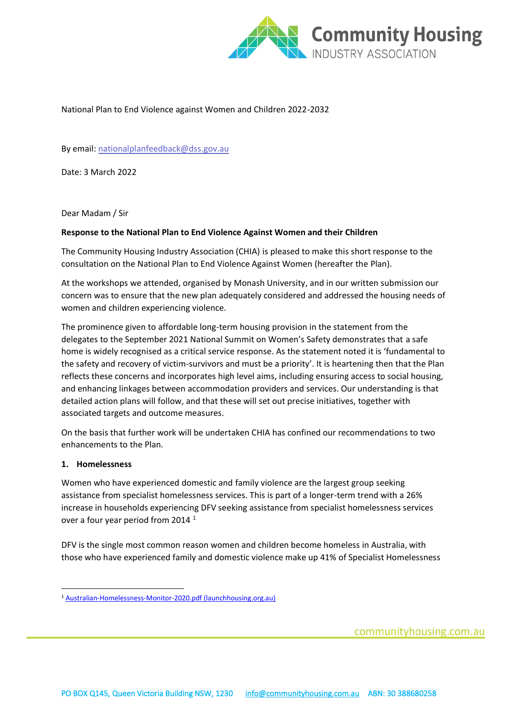

## National Plan to End Violence against Women and Children 2022-2032

By email: [nationalplanfeedback@dss.gov.au](mailto:nationalplanfeedback@dss.gov.au)

Date: 3 March 2022

Dear Madam / Sir

## **Response to the National Plan to End Violence Against Women and their Children**

The Community Housing Industry Association (CHIA) is pleased to make this short response to the consultation on the National Plan to End Violence Against Women (hereafter the Plan).

At the workshops we attended, organised by Monash University, and in our written submission our concern was to ensure that the new plan adequately considered and addressed the housing needs of women and children experiencing violence.

The prominence given to affordable long-term housing provision in the statement from the delegates to the September 2021 National Summit on Women's Safety demonstrates that a safe home is widely recognised as a critical service response. As the statement noted it is 'fundamental to the safety and recovery of victim-survivors and must be a priority'. It is heartening then that the Plan reflects these concerns and incorporates high level aims, including ensuring access to social housing, and enhancing linkages between accommodation providers and services. Our understanding is that detailed action plans will follow, and that these will set out precise initiatives, together with associated targets and outcome measures.

On the basis that further work will be undertaken CHIA has confined our recommendations to two enhancements to the Plan.

## **1. Homelessness**

Women who have experienced domestic and family violence are the largest group seeking assistance from specialist homelessness services. This is part of a longer-term trend with a 26% increase in households experiencing DFV seeking assistance from specialist homelessness services over a four year period from 2014<sup>1</sup>

DFV is the single most common reason women and children become homeless in Australia, with those who have experienced family and domestic violence make up 41% of Specialist Homelessness

communityhousing.com.au

<sup>1</sup> [Australian-Homelessness-Monitor-2020.pdf \(launchhousing.org.au\)](https://data.launchhousing.org.au/app/uploads/2020/10/Australian-Homelessness-Monitor-2020.pdf)